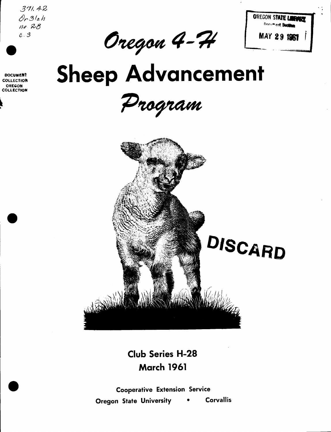$371.42$  $0r3h$  $10.28$  $c.3$ 

Oregon 4-74



DOCUMENT **COLLECTION** OREGON **COLLECTION** 

## **Sheep Advancement** Program



## **Club Series H-28 March 1961**

**Cooperative Extension Service Corvallis Oregon State University**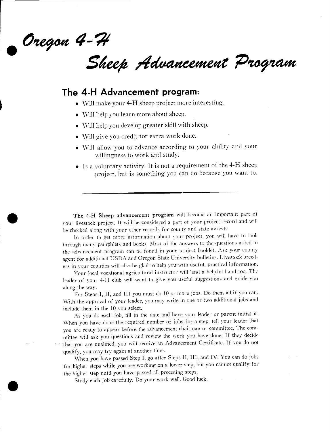Oregon 4-74

Sheep Advancement Program

## The 4-H Advancement program:

- Will make your 4-H sheep project more interesting.
- Will help you learn more about sheep.
- Will help you develop greater skill with sheep.
- Will give you credit for extra work done.
- Will allow von to advance according to your ability and your willingness to work and study.
- Is a voluntary activity. It is not a requirement of the 4-H sheep project, but is something you can do because you want to.

The 4-H Sheep advancement program will become an important part of your livestock project. It will be considered a part of your project record and will he checked along with your other records for county and state awards.

In order to get more information about your project, you will have to look through many pamphlets and books. Most of the answers to the questions asked in the advancement program can be found in your project booklet. Ask your county agent for additional USDA and Oregon State University bulletins. Livestock breeders in your counties will also he glad to help von with useful, practical information.

Your local vocational agricultural instructor will lend a helpful hand too. The leader of your 4-H club will want to give you useful suggestions and guide you along the way.

For Steps I, II, and 111 you must do 10 or more jobs. Do them all if you can. With the approval of your leader, von may write in one or two additional jobs and include them in the 10 you select.

As you do each job, fill in the date and have your leader or parent initial it. \Vhen you have done the required number of jobs for a step, tell your leader that you are ready to appear before the advancement chairman or committee. The committee will ask you questions and review the work you have done. If they decide that you are qualified, you will receive an Advancement Certificate. If you do not qualify, you may try again at another time.

When you have passed Step I, go after Steps II, III, and IV. You can do jobs for higher steps while you are working on a lower step, but you cannot qualify for the higher step until you have passed all preceding steps.

Study each job carefully. Do your work well. Good luck.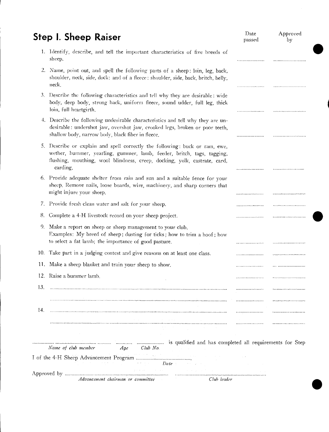|     | <b>Step I. Sheep Raiser</b>                                                                                                                                                                                                                    | Date<br>passed | Approved<br>by                  |
|-----|------------------------------------------------------------------------------------------------------------------------------------------------------------------------------------------------------------------------------------------------|----------------|---------------------------------|
|     | 1. Identify, describe, and tell the important characteristics of five breeds of<br>sheep.                                                                                                                                                      |                | <b>**********************</b> * |
|     | 2. Name, point out, and spell the following parts of a sheep: loin, leg, back,<br>shoulder, neck, side, dock: and of a fleece: shoulder, side, back, britch, belly,<br>neck.                                                                   |                |                                 |
|     | 3. Describe the following characteristics and tell why they are desirable: wide<br>body, deep body, strong back, uniform fleece, sound udder, full leg, thick<br>loin, full heartgirth.                                                        |                |                                 |
|     | 4. Describe the following undesirable characteristics and tell why they are un-<br>desirable: undershot jaw, overshot jaw, crooked legs, broken or poor teeth,<br>shallow body, narrow body, black fiber in fleece.                            | <u></u>        |                                 |
|     | 5. Describe or explain and spell correctly the following: buck or ram, ewe,<br>wether, bummer, yearling, gummer, lamb, feeder, britch, tags, tagging,<br>flushing, mouthing, wool blindness, creep, docking, yolk, castrate, card,<br>carding. |                |                                 |
|     | 6. Provide adequate shelter from rain and sun and a suitable fence for your<br>sheep. Remove nails, loose boards, wire, machinery, and sharp corners that<br>might injure your sheep.                                                          |                |                                 |
|     | 7. Provide fresh clean water and salt for your sheep.                                                                                                                                                                                          | .              |                                 |
| 8.  | Complete a 4-H livestock record on your sheep project.                                                                                                                                                                                         |                |                                 |
|     | 9. Make a report on sheep or sheep management to your club.<br>Examples: My breed of sheep; dusting for ticks; how to trim a hoof; how<br>to select a fat lamb; the importance of good pasture.                                                |                |                                 |
|     | 10. Take part in a judging contest and give reasons on at least one class.                                                                                                                                                                     |                |                                 |
|     | 11. Make a sheep blanket and train your sheep to show.                                                                                                                                                                                         |                |                                 |
|     | 12. Raise a bummer lamb.                                                                                                                                                                                                                       |                |                                 |
| 13. |                                                                                                                                                                                                                                                |                |                                 |
|     |                                                                                                                                                                                                                                                |                |                                 |
| 14. |                                                                                                                                                                                                                                                |                |                                 |
|     |                                                                                                                                                                                                                                                |                |                                 |
|     |                                                                                                                                                                                                                                                |                |                                 |
|     | Name of club member<br>Age Club No.                                                                                                                                                                                                            |                |                                 |
|     | $Date$ and $Date$                                                                                                                                                                                                                              |                |                                 |
|     | contractors and                                                                                                                                                                                                                                |                |                                 |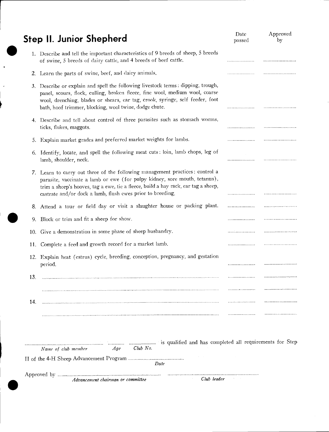|     | <b>Step II. Junior Shepherd</b>                                                                                                                                                                                                                                                                                | Date<br>passed          | Approved<br>by          |
|-----|----------------------------------------------------------------------------------------------------------------------------------------------------------------------------------------------------------------------------------------------------------------------------------------------------------------|-------------------------|-------------------------|
|     | 1. Describe and tell the important characteristics of 9 breeds of sheep, 5 breeds<br>of swine, 5 breeds of dairy cattle, and 4 breeds of beef cattle.                                                                                                                                                          | .                       |                         |
|     | 2. Learn the parts of swine, beef, and dairy animals.                                                                                                                                                                                                                                                          |                         |                         |
|     | 3. Describe or explain and spell the following livestock terms: dipping, trough,<br>panel, scours, flock, culling, broken fleece, fine wool, medium wool, coarse<br>wool, drenching, blades or shears, ear tag, crook, syringe, self feeder, foot<br>bath, hoof trimmer, blocking, wool twine, dodge chute.    |                         |                         |
|     | 4. Describe and tell about control of three parasites such as stomach worms,<br>ticks, flukes, maggots.                                                                                                                                                                                                        | . . <i>.</i> <b>. .</b> |                         |
| 5.  | Explain market grades and preferred market weights for lambs.                                                                                                                                                                                                                                                  | . <b>. .</b> .          |                         |
| 6.  | Identify, locate, and spell the following meat cuts: loin, lamb chops, leg of<br>lamb, shoulder, neck.                                                                                                                                                                                                         |                         |                         |
|     | 7. Learn to carry out three of the following management practices: control a<br>parasite, vaccinate a lamb or ewe (for pulpy kidney, sore mouth, tetanus),<br>trim a sheep's hooves, tag a ewe, tie a fleece, build a hay rack, ear tag a sheep,<br>castrate and/or dock a lamb, flush ewes prior to breeding. |                         |                         |
|     | 8. Attend a tour or field day or visit a slaughter house or packing plant.                                                                                                                                                                                                                                     |                         |                         |
| 9.  | Block or trim and fit a sheep for show.                                                                                                                                                                                                                                                                        | . <b>. .</b> .          |                         |
|     | 10. Give a demonstration in some phase of sheep husbandry.                                                                                                                                                                                                                                                     |                         | ----------------------- |
|     | 11. Complete a feed and growth record for a market lamb.                                                                                                                                                                                                                                                       |                         |                         |
|     | 12. Explain heat (estrus) cycle, breeding, conception, pregnancy, and gestation<br>period.                                                                                                                                                                                                                     |                         |                         |
| 13. |                                                                                                                                                                                                                                                                                                                |                         |                         |
|     |                                                                                                                                                                                                                                                                                                                |                         |                         |
| 14. |                                                                                                                                                                                                                                                                                                                |                         |                         |
|     |                                                                                                                                                                                                                                                                                                                |                         |                         |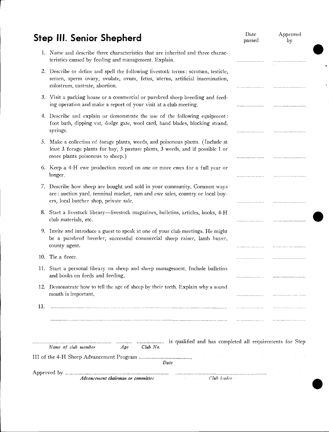|     | <b>Step III. Senior Shepherd</b>                                                                                                                                                                      | Date<br>passed | Approved<br>by                   |
|-----|-------------------------------------------------------------------------------------------------------------------------------------------------------------------------------------------------------|----------------|----------------------------------|
|     | 1. Name and describe three characteristics that are inherited and three charac-<br>teristics caused by feeding and management. Explain.                                                               |                |                                  |
|     | 2. Describe or define and spell the following livestock terms: scrotum, testicle,<br>semen, sperm ovary, ovulate, ovum, fetus, uterus, artificial insemination,<br>colostrum, castrate, abortion.     |                |                                  |
|     | 3. Visit a packing house or a commercial or purebred sheep breeding and feed-<br>ing operation and make a report of your visit at a club meeting.                                                     | .              |                                  |
|     | 4. Describe and explain or demonstrate the use of the following equipment:<br>foot bath, dipping vat, dodge gate, wool card, hand blades, blocking strand,<br>syringe.                                |                |                                  |
|     | 5. Make a collection of forage plants, weeds, and poisonous plants. (Include at<br>least 3 forage plants for hay, 3 pasture plants, 3 weeds, and if possible 1 or<br>more plants poisonous to sheep.) |                |                                  |
|     | 6. Keep a 4-H ewe production record on one or more ewes for a full year or<br>longer.                                                                                                                 |                |                                  |
|     | 7. Describe how sheep are bought and sold in your community. Common ways<br>are: auction yard, terminal market, ram and ewe sales, country or local buy-<br>ers, local butcher shop, private sale.    | .              | <b>**********</b> ************** |
| 8.  | Start a livestock library—livestock magazines, bulletins, articles, books, 4-H<br>club materials, etc.                                                                                                | .              |                                  |
|     | 9. Invite and introduce a guest to speak at one of your club meetings. He might<br>be a purebred breeder, successful commercial sheep raiser, lamb buyer,<br>county agent.                            |                |                                  |
|     | 10. Tie a fleece.                                                                                                                                                                                     |                |                                  |
|     | 11. Start a personal library on sheep and sheep management. Include bulletins<br>and books on feeds and feeding.                                                                                      |                | <i></i>                          |
|     | 12. Demonstrate how to tell the age of sheep by their teeth. Explain why a sound<br>mouth is important.                                                                                               |                |                                  |
| 13. |                                                                                                                                                                                                       |                |                                  |
|     | Name of club member<br>$\mathcal{C}$ <i>lub</i> $\mathcal{N}$ <i>o</i> .<br>Age<br>Date <sup>-</sup>                                                                                                  |                |                                  |
|     | Advancement chairman or committee                                                                                                                                                                     |                |                                  |

**The Community**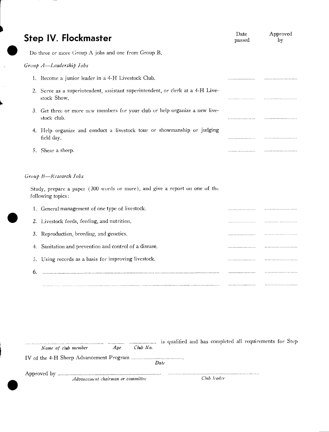| Step IV. Flockmaster                                                                             | Date<br>passed | Approved<br>by |
|--------------------------------------------------------------------------------------------------|----------------|----------------|
| Do three or more Group A jobs and one from Group B.                                              |                |                |
| Group A-Leadership Jobs                                                                          |                |                |
| 1. Become a junior leader in a 4-H Livestock Club.                                               | . <b>.</b> .   |                |
| 2. Serve as a superintendent, assistant superintendent, or clerk at a 4-H Live-<br>stock Show.   |                |                |
| 3. Get three or more new members for your club or help organize a new live-<br>stock club.       | .              | <b></b>        |
| 4. Help organize and conduct a livestock tour or showmanship or judging<br>field day.            |                |                |
| 5. Shear a sheep.                                                                                |                |                |
| Group B-Research Jobs                                                                            |                |                |
| Study, prepare a paper (300 words or more), and give a report on one of the<br>following topics: |                |                |
| 1. General management of one type of livestock.                                                  |                |                |
| 2. Livestock feeds, feeding, and nutrition.                                                      |                |                |
| 3. Reproduction, breeding, and genetics.                                                         | . <b>.</b> .   |                |
| 4. Sanitation and prevention and control of a disease.                                           | <u></u>        |                |
| Using records as a basis for improving livestock.<br>5.                                          |                |                |
| 6.                                                                                               |                |                |

 $\ddot{\phantom{a}}$ 

 $\ddot{\phantom{a}}$ 

| Name of club member | Age | Club No. |      |
|---------------------|-----|----------|------|
|                     |     |          | Date |
|                     |     |          |      |